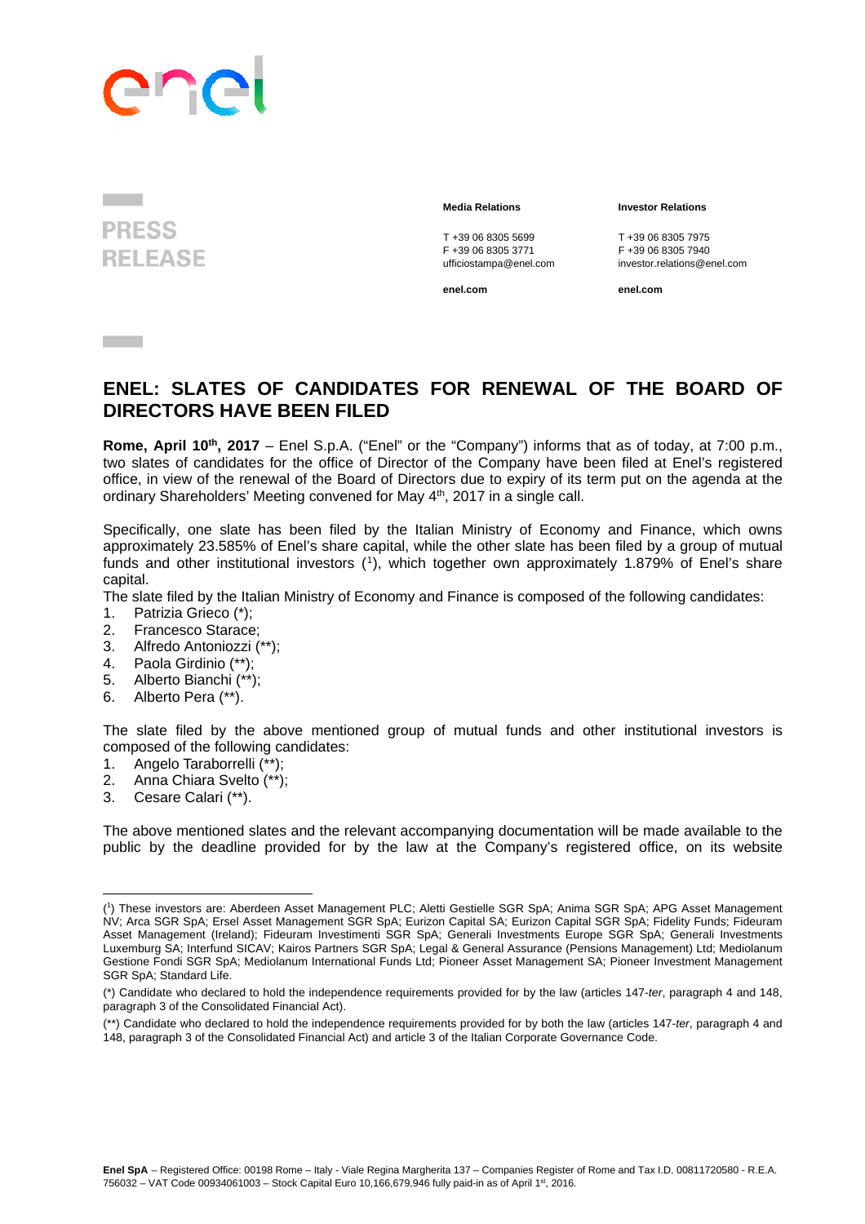

**PRESS RELEASE** 

## **Media Relations Investor Relations**

T +39 06 8305 5699<br>
F +39 06 8305 3771<br>
F +39 06 8305 3771<br>
F +39 06 8305 7940 F +39 06 8305 3771<br>ufficiostampa@enel.com

**enel.com enel.com**

investor.relations@enel.com

## **ENEL: SLATES OF CANDIDATES FOR RENEWAL OF THE BOARD OF DIRECTORS HAVE BEEN FILED**

**Rome, April 10th, 2017** – Enel S.p.A. ("Enel" or the "Company") informs that as of today, at 7:00 p.m., two slates of candidates for the office of Director of the Company have been filed at Enel's registered office, in view of the renewal of the Board of Directors due to expiry of its term put on the agenda at the ordinary Shareholders' Meeting convened for May 4<sup>th</sup>, 2017 in a single call.

Specifically, one slate has been filed by the Italian Ministry of Economy and Finance, which owns approximately 23.585% of Enel's share capital, while the other slate has been filed by a group of mutual funds and other institutional investors (1), which together own approximately 1.879% of Enel's share capital.

The slate filed by the Italian Ministry of Economy and Finance is composed of the following candidates:

- 1. Patrizia Grieco (\*);
- 2. Francesco Starace;
- 3. Alfredo Antoniozzi (\*\*);
- 4. Paola Girdinio (\*\*);
- 5. Alberto Bianchi (\*\*);
- 6. Alberto Pera (\*\*).

The slate filed by the above mentioned group of mutual funds and other institutional investors is composed of the following candidates:

- 1. Angelo Taraborrelli (\*\*);
- 2. Anna Chiara Svelto (\*\*);

 

3. Cesare Calari (\*\*).

The above mentioned slates and the relevant accompanying documentation will be made available to the public by the deadline provided for by the law at the Company's registered office, on its website

<sup>(</sup> 1 ) These investors are: Aberdeen Asset Management PLC; Aletti Gestielle SGR SpA; Anima SGR SpA; APG Asset Management NV; Arca SGR SpA; Ersel Asset Management SGR SpA; Eurizon Capital SA; Eurizon Capital SGR SpA; Fidelity Funds; Fideuram Asset Management (Ireland); Fideuram Investimenti SGR SpA; Generali Investments Europe SGR SpA; Generali Investments Luxemburg SA; Interfund SICAV; Kairos Partners SGR SpA; Legal & General Assurance (Pensions Management) Ltd; Mediolanum Gestione Fondi SGR SpA; Mediolanum International Funds Ltd; Pioneer Asset Management SA; Pioneer Investment Management SGR SpA: Standard Life.

<sup>(\*)</sup> Candidate who declared to hold the independence requirements provided for by the law (articles 147-*ter*, paragraph 4 and 148, paragraph 3 of the Consolidated Financial Act).

<sup>(\*\*)</sup> Candidate who declared to hold the independence requirements provided for by both the law (articles 147-*ter*, paragraph 4 and 148, paragraph 3 of the Consolidated Financial Act) and article 3 of the Italian Corporate Governance Code.